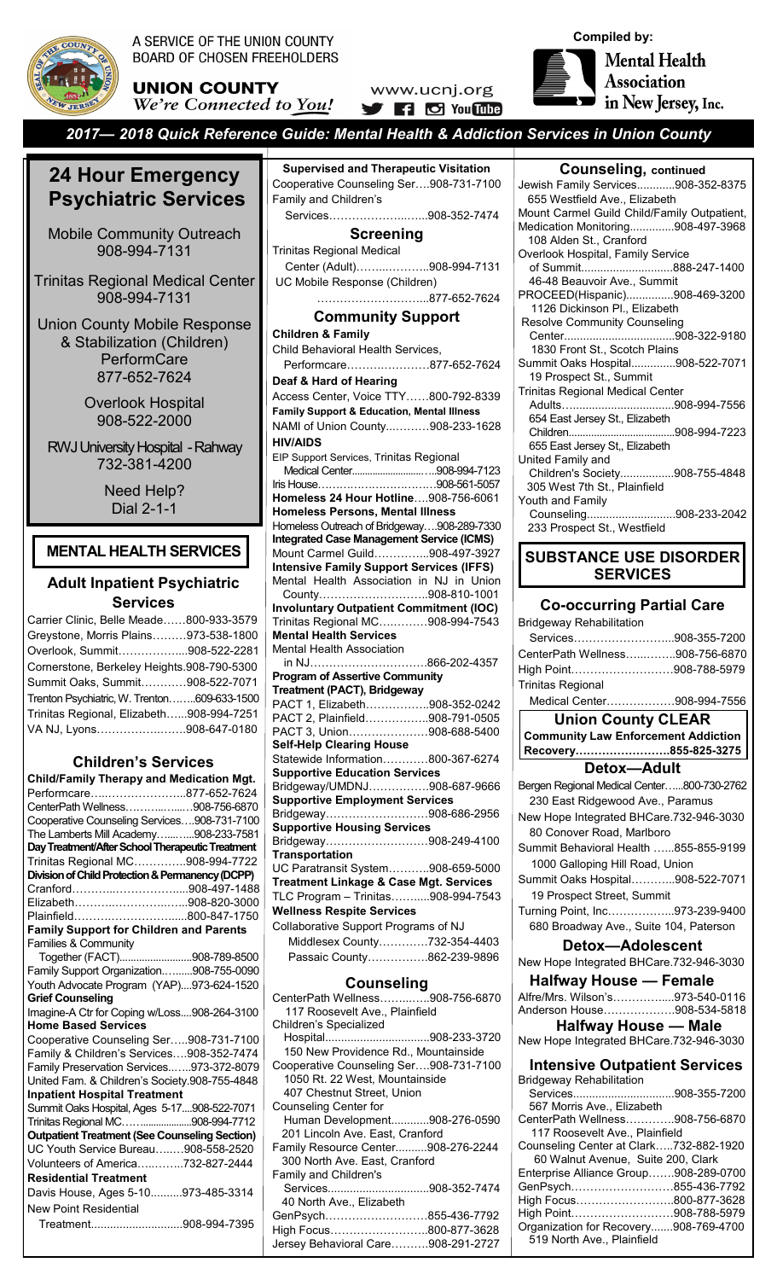

A SERVICE OF THE UNION COUNTY **BOARD OF CHOSEN FREEHOLDERS** 

**UNION COUNTY** We're Connected to You!





*2017— 2018 Quick Reference Guide: Mental Health & Addiction Services in Union County*

# **24 Hour Emergency 24 Hour Emergency Psychiatric Services Psychiatric Services**

Mobile Community Outreach Mobile Community Outreach 908-994-7131 908-994-7131

Trinitas Regional Medical Center Trinitas Regional Medical Center 908-351-6684 908-994-7131

Union County Mobile Response & Stabilization & Stabilization (Children) PerformCare 877-652-7624

Overlook Hospital Overlook Hospital 908-522-2000

RWJ University Hospital -Rahway RWJ University Hospital -Rahway 732-381-4200 732-381-4200

> Need Help? Dial 2-1-1

# **MENTAL HEALTH SERVICES**

# **Adult Inpatient Psychiatric Services**

| Carrier Clinic, Belle Meade800-933-3579     |  |
|---------------------------------------------|--|
| Greystone, Morris Plains973-538-1800        |  |
| Overlook, Summit908-522-2281                |  |
| Cornerstone, Berkeley Heights.908-790-5300  |  |
| Summit Oaks, Summit908-522-7071             |  |
| Trenton Psychiatric, W. Trenton609-633-1500 |  |
| Trinitas Regional, Elizabeth908-994-7251    |  |
| VA NJ, Lyons908-647-0180                    |  |

# **Children's Services**

| <b>Child/Family Therapy and Medication Mgt.</b>                                             |  |
|---------------------------------------------------------------------------------------------|--|
| Performcare877-652-7624                                                                     |  |
| CenterPath Wellness908-756-6870                                                             |  |
| Cooperative Counseling Services908-731-7100                                                 |  |
| The Lamberts Mill Academy908-233-7581                                                       |  |
| Day Treatment/After School Therapeutic Treatment                                            |  |
| Trinitas Regional MC908-994-7722                                                            |  |
| Division of Child Protection & Permanency (DCPP)                                            |  |
| Cranford908-497-1488                                                                        |  |
| Elizabeth908-820-3000                                                                       |  |
| Plainfield800-847-1750                                                                      |  |
| <b>Family Support for Children and Parents</b>                                              |  |
| Families & Community                                                                        |  |
| Together (FACT)908-789-8500                                                                 |  |
| Family Support Organization908-755-0090                                                     |  |
| Youth Advocate Program (YAP)973-624-1520                                                    |  |
| <b>Grief Counseling</b>                                                                     |  |
| Imagine-A Ctr for Coping w/Loss908-264-3100                                                 |  |
| <b>Home Based Services</b>                                                                  |  |
| Cooperative Counseling Ser908-731-7100                                                      |  |
| Family & Children's Services908-352-7474                                                    |  |
| Family Preservation Services973-372-8079                                                    |  |
| United Fam. & Children's Society.908-755-4848                                               |  |
| <b>Inpatient Hospital Treatment</b>                                                         |  |
| Summit Oaks Hospital, Ages 5-17908-522-7071                                                 |  |
| Trinitas Regional MC908-994-7712                                                            |  |
| <b>Outpatient Treatment (See Counseling Section)</b><br>UC Youth Service Bureau908-558-2520 |  |
|                                                                                             |  |
| Volunteers of America732-827-2444<br><b>Residential Treatment</b>                           |  |
|                                                                                             |  |
| Davis House, Ages 5-10973-485-3314                                                          |  |
| <b>New Point Residential</b>                                                                |  |
| Treatment908-994-7395                                                                       |  |

**Supervised and Therapeutic Visitation** Cooperative Counseling Ser….908-731-7100 Family and Children's Services………………...…...908-352-7474 **Screening** Trinitas Regional Medical Center (Adult)……...………..908-994-7131 UC Mobile Response (Children) ………………………...877-652-7624 **Community Support Children & Family** Child Behavioral Health Services, Performcare……….…………877-652-7624 **Deaf & Hard of Hearing** Access Center, Voice TTY……800-792-8339 **Family Support & Education, Mental Illness** NAMI of Union County...………908-233-1628 **HIV/AIDS** EIP Support Services, Trinitas Regional Medical Center...........................…..908-994-7123 Iris House……………………………908-561-5057 **Homeless 24 Hour Hotline**….908-756-6061 **Homeless Persons, Mental Illness** Homeless Outreach of Bridgeway….908-289-7330 **Integrated Case Management Service (ICMS)** Mount Carmel Guild…………...908-497-3927 **Intensive Family Support Services (IFFS)**  Mental Health Association in NJ in Union County………………………..908-810-1001 **Involuntary Outpatient Commitment (IOC)** Trinitas Regional MC….………908-994-7543 **Mental Health Services** Mental Health Association in NJ………………………….866-202-4357 **Program of Assertive Community Treatment (PACT), Bridgeway** PACT 1, Elizabeth……………..908-352-0242 PACT 2, Plainfield……………..908-791-0505 PACT 3, Union…………………908-688-5400 **Self-Help Clearing House** Statewide Information…………800-367-6274 **Supportive Education Services** Bridgeway/UMDNJ…………….908-687-9666 **Supportive Employment Services** Bridgeway………………………908-686-2956 **Supportive Housing Services** Bridgeway………………………908-249-4100 **Transportation**  UC Paratransit System………..908-659-5000 **Treatment Linkage & Case Mgt. Services**  TLC Program – Trinitas…….....908-994-7543 **Wellness Respite Services** Collaborative Support Programs of NJ Middlesex County………….732-354-4403 Passaic County…………….862-239-9896 **Counseling** CenterPath Wellness……...…..908-756-6870 117 Roosevelt Ave., Plainfield Children's Specialized Hospital.................................908-233-3720 150 New Providence Rd., Mountainside Cooperative Counseling Ser….908-731-7100 1050 Rt. 22 West, Mountainside 407 Chestnut Street, Union Counseling Center for Human Development............908-276-0590 201 Lincoln Ave. East, Cranford Family Resource Center..........908-276-2244

 300 North Ave. East, Cranford Family and Children's

Services................................908-352-7474 40 North Ave., Elizabeth

| GenPsych855-436-7792               |  |
|------------------------------------|--|
| High Focus800-877-3628             |  |
| Jersey Behavioral Care908-291-2727 |  |

| <b>Counseling, continued</b>                                    |  |
|-----------------------------------------------------------------|--|
|                                                                 |  |
| Jewish Family Services908-352-8375                              |  |
| 655 Westfield Ave., Elizabeth                                   |  |
| Mount Carmel Guild Child/Family Outpatient,                     |  |
| Medication Monitoring908-497-3968                               |  |
| 108 Alden St., Cranford                                         |  |
| Overlook Hospital, Family Service                               |  |
| of Summit888-247-1400                                           |  |
| 46-48 Beauvoir Ave., Summit                                     |  |
| PROCEED(Hispanic)908-469-3200                                   |  |
|                                                                 |  |
| 1126 Dickinson Pl., Elizabeth                                   |  |
| <b>Resolve Community Counseling</b>                             |  |
|                                                                 |  |
| 1830 Front St., Scotch Plains                                   |  |
| Summit Oaks Hospital908-522-7071                                |  |
| 19 Prospect St., Summit                                         |  |
| <b>Trinitas Regional Medical Center</b>                         |  |
|                                                                 |  |
| 654 East Jersey St., Elizabeth                                  |  |
|                                                                 |  |
|                                                                 |  |
| 655 East Jersey St., Elizabeth                                  |  |
| United Family and                                               |  |
| Children's Society908-755-4848                                  |  |
| 305 West 7th St., Plainfield                                    |  |
| Youth and Family                                                |  |
| Counseling908-233-2042                                          |  |
| 233 Prospect St., Westfield                                     |  |
|                                                                 |  |
| <b>SUBSTANCE USE DISORDER</b>                                   |  |
|                                                                 |  |
| <b>SERVICES</b>                                                 |  |
|                                                                 |  |
| <b>Co-occurring Partial Care</b>                                |  |
|                                                                 |  |
| <b>Bridgeway Rehabilitation</b>                                 |  |
| Services908-355-7200                                            |  |
| CenterPath Wellness908-756-6870                                 |  |
| High Point………………………908-788-5979                                 |  |
|                                                                 |  |
| <b>Trinitas Regional</b>                                        |  |
|                                                                 |  |
| Medical Center908-994-7556                                      |  |
|                                                                 |  |
| <b>Union County CLEAR</b>                                       |  |
| <b>Community Law Enforcement Addiction</b>                      |  |
| Recovery855-825-3275                                            |  |
|                                                                 |  |
| Detox-Adult                                                     |  |
| Bergen Regional Medical Center800-730-2762                      |  |
| 230 East Ridgewood Ave., Paramus                                |  |
|                                                                 |  |
| New Hope Integrated BHCare.732-946-3030                         |  |
| 80 Conover Road, Marlboro                                       |  |
| Summit Behavioral Health 855-855-9199                           |  |
| 1000 Galloping Hill Road, Union                                 |  |
|                                                                 |  |
| Summit Oaks Hospital908-522-7071                                |  |
| 19 Prospect Street, Summit                                      |  |
| Turning Point, Inc973-239-9400                                  |  |
| 680 Broadway Ave., Suite 104, Paterson                          |  |
|                                                                 |  |
| Detox-Adolescent                                                |  |
| New Hope Integrated BHCare.732-946-3030                         |  |
|                                                                 |  |
| Halfway House — Female                                          |  |
| Alfre/Mrs. Wilson's973-540-0116                                 |  |
| Anderson House908-534-5818                                      |  |
| <b>Halfway House — Male</b>                                     |  |
| New Hope Integrated BHCare.732-946-3030                         |  |
|                                                                 |  |
| <b>Intensive Outpatient Services</b>                            |  |
|                                                                 |  |
| <b>Bridgeway Rehabilitation</b>                                 |  |
| Services908-355-7200                                            |  |
| 567 Morris Ave., Elizabeth                                      |  |
| CenterPath Wellness908-756-6870                                 |  |
| 117 Roosevelt Ave., Plainfield                                  |  |
| Counseling Center at Clark732-882-1920                          |  |
| 60 Walnut Avenue, Suite 200, Clark                              |  |
| Enterprise Alliance Group908-289-0700                           |  |
| GenPsych855-436-7792                                            |  |
| High Focus800-877-3628                                          |  |
| High Point908-788-5979<br>Organization for Recovery908-769-4700 |  |

519 North Ave., Plainfield

 $\overline{a}$